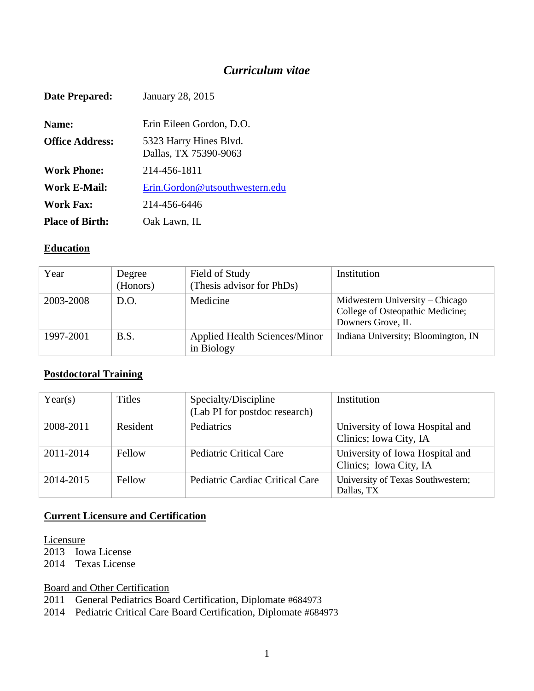## *Curriculum vitae*

| Date Prepared:         | <b>January 28, 2015</b>                         |
|------------------------|-------------------------------------------------|
| Name:                  | Erin Eileen Gordon, D.O.                        |
| <b>Office Address:</b> | 5323 Harry Hines Blvd.<br>Dallas, TX 75390-9063 |
| <b>Work Phone:</b>     | 214-456-1811                                    |
| Work E-Mail:           | Erin.Gordon@utsouthwestern.edu                  |
| <b>Work Fax:</b>       | 214-456-6446                                    |
| <b>Place of Birth:</b> | Oak Lawn, IL                                    |

#### **Education**

| Year      | Degree<br>(Honors) | Field of Study<br>(Thesis advisor for PhDs)        | Institution                                                                              |
|-----------|--------------------|----------------------------------------------------|------------------------------------------------------------------------------------------|
| 2003-2008 | D.O.               | Medicine                                           | Midwestern University – Chicago<br>College of Osteopathic Medicine;<br>Downers Grove, IL |
| 1997-2001 | B.S.               | <b>Applied Health Sciences/Minor</b><br>in Biology | Indiana University; Bloomington, IN                                                      |

#### **Postdoctoral Training**

| Year(s)   | <b>Titles</b> | Specialty/Discipline<br>(Lab PI for postdoc research) | Institution                                               |
|-----------|---------------|-------------------------------------------------------|-----------------------------------------------------------|
| 2008-2011 | Resident      | Pediatrics                                            | University of Iowa Hospital and<br>Clinics; Iowa City, IA |
| 2011-2014 | Fellow        | <b>Pediatric Critical Care</b>                        | University of Iowa Hospital and<br>Clinics; Iowa City, IA |
| 2014-2015 | Fellow        | Pediatric Cardiac Critical Care                       | University of Texas Southwestern;<br>Dallas, TX           |

#### **Current Licensure and Certification**

Licensure

2013 Iowa License

2014 Texas License

Board and Other Certification

2011 General Pediatrics Board Certification, Diplomate #684973

2014 Pediatric Critical Care Board Certification, Diplomate #684973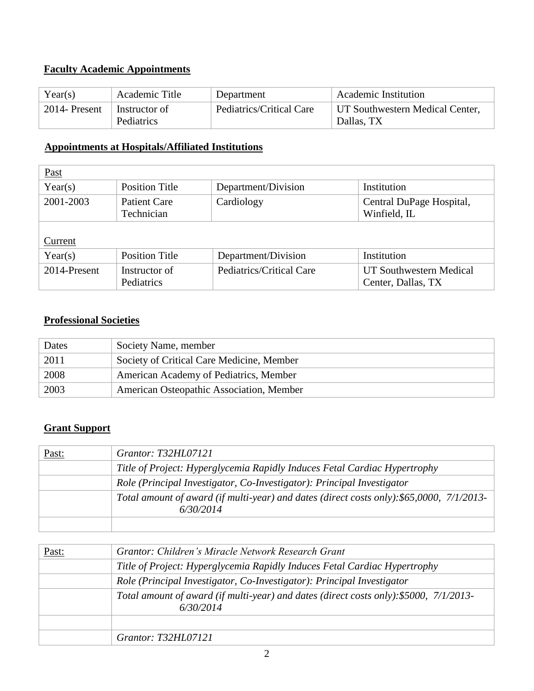## **Faculty Academic Appointments**

| Year(s)       | Academic Title              | Department               | <b>Academic Institution</b>                   |  |
|---------------|-----------------------------|--------------------------|-----------------------------------------------|--|
| 2014- Present | Instructor of<br>Pediatrics | Pediatrics/Critical Care | UT Southwestern Medical Center,<br>Dallas, TX |  |

### **Appointments at Hospitals/Affiliated Institutions**

| <b>Past</b>  |                                   |                          |                                               |
|--------------|-----------------------------------|--------------------------|-----------------------------------------------|
| Year(s)      | <b>Position Title</b>             | Department/Division      | Institution                                   |
| 2001-2003    | <b>Patient Care</b><br>Technician | Cardiology               | Central DuPage Hospital,<br>Winfield, IL      |
| Current      |                                   |                          |                                               |
| Year(s)      | <b>Position Title</b>             | Department/Division      | Institution                                   |
| 2014-Present | Instructor of<br>Pediatrics       | Pediatrics/Critical Care | UT Southwestern Medical<br>Center, Dallas, TX |

#### **Professional Societies**

| Dates | Society Name, member                      |
|-------|-------------------------------------------|
| 2011  | Society of Critical Care Medicine, Member |
| 2008  | American Academy of Pediatrics, Member    |
| 2003  | American Osteopathic Association, Member  |

#### **Grant Support**

| Past: | Grantor: T32HL07121                                                                                    |
|-------|--------------------------------------------------------------------------------------------------------|
|       | Title of Project: Hyperglycemia Rapidly Induces Fetal Cardiac Hypertrophy                              |
|       | Role (Principal Investigator, Co-Investigator): Principal Investigator                                 |
|       | Total amount of award (if multi-year) and dates (direct costs only): \$65,0000, 7/1/2013-<br>6/30/2014 |
|       |                                                                                                        |

| Past: | Grantor: Children's Miracle Network Research Grant                                                  |
|-------|-----------------------------------------------------------------------------------------------------|
|       | Title of Project: Hyperglycemia Rapidly Induces Fetal Cardiac Hypertrophy                           |
|       | Role (Principal Investigator, Co-Investigator): Principal Investigator                              |
|       | Total amount of award (if multi-year) and dates (direct costs only): \$5000, 7/1/2013-<br>6/30/2014 |
|       |                                                                                                     |
|       | Grantor: T32HL07121                                                                                 |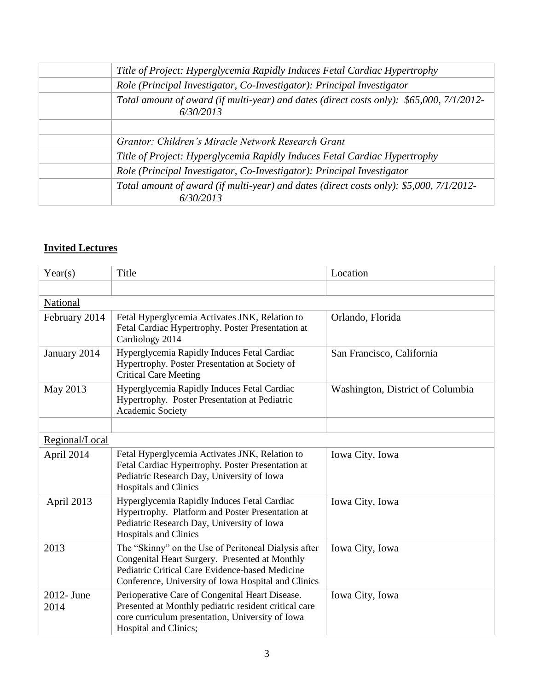| Title of Project: Hyperglycemia Rapidly Induces Fetal Cardiac Hypertrophy                             |
|-------------------------------------------------------------------------------------------------------|
| Role (Principal Investigator, Co-Investigator): Principal Investigator                                |
| Total amount of award (if multi-year) and dates (direct costs only): \$65,000, 7/1/2012-<br>6/30/2013 |
|                                                                                                       |
| Grantor: Children's Miracle Network Research Grant                                                    |
| Title of Project: Hyperglycemia Rapidly Induces Fetal Cardiac Hypertrophy                             |
| Role (Principal Investigator, Co-Investigator): Principal Investigator                                |
| Total amount of award (if multi-year) and dates (direct costs only): \$5,000, 7/1/2012-<br>6/30/2013  |

### **Invited Lectures**

| Year(s)            | Title                                                                                                                                                                                                            | Location                         |
|--------------------|------------------------------------------------------------------------------------------------------------------------------------------------------------------------------------------------------------------|----------------------------------|
|                    |                                                                                                                                                                                                                  |                                  |
| National           |                                                                                                                                                                                                                  |                                  |
| February 2014      | Fetal Hyperglycemia Activates JNK, Relation to<br>Fetal Cardiac Hypertrophy. Poster Presentation at<br>Cardiology 2014                                                                                           | Orlando, Florida                 |
| January 2014       | Hyperglycemia Rapidly Induces Fetal Cardiac<br>Hypertrophy. Poster Presentation at Society of<br><b>Critical Care Meeting</b>                                                                                    | San Francisco, California        |
| May 2013           | Hyperglycemia Rapidly Induces Fetal Cardiac<br>Hypertrophy. Poster Presentation at Pediatric<br>Academic Society                                                                                                 | Washington, District of Columbia |
|                    |                                                                                                                                                                                                                  |                                  |
| Regional/Local     |                                                                                                                                                                                                                  |                                  |
| April 2014         | Fetal Hyperglycemia Activates JNK, Relation to<br>Fetal Cardiac Hypertrophy. Poster Presentation at<br>Pediatric Research Day, University of Iowa<br><b>Hospitals and Clinics</b>                                | Iowa City, Iowa                  |
| April 2013         | Hyperglycemia Rapidly Induces Fetal Cardiac<br>Hypertrophy. Platform and Poster Presentation at<br>Pediatric Research Day, University of Iowa<br><b>Hospitals and Clinics</b>                                    | Iowa City, Iowa                  |
| 2013               | The "Skinny" on the Use of Peritoneal Dialysis after<br>Congenital Heart Surgery. Presented at Monthly<br>Pediatric Critical Care Evidence-based Medicine<br>Conference, University of Iowa Hospital and Clinics | Iowa City, Iowa                  |
| 2012- June<br>2014 | Perioperative Care of Congenital Heart Disease.<br>Presented at Monthly pediatric resident critical care<br>core curriculum presentation, University of Iowa<br>Hospital and Clinics;                            | Iowa City, Iowa                  |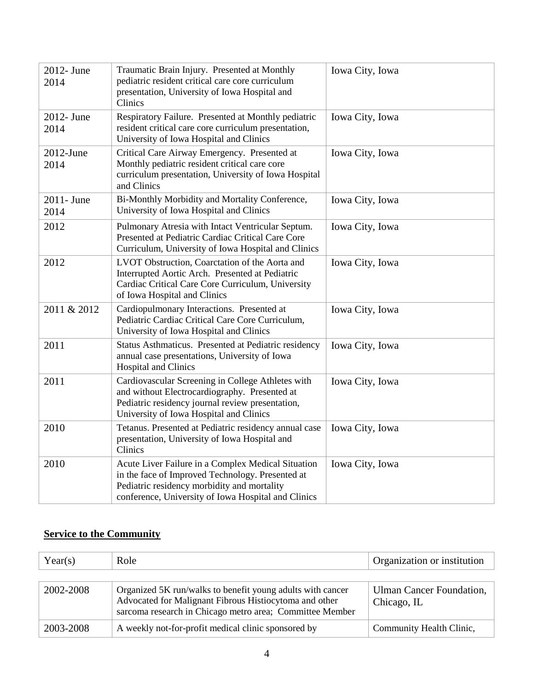| 2012- June<br>2014   | Traumatic Brain Injury. Presented at Monthly<br>pediatric resident critical care core curriculum<br>presentation, University of Iowa Hospital and<br>Clinics                                                 | Iowa City, Iowa |
|----------------------|--------------------------------------------------------------------------------------------------------------------------------------------------------------------------------------------------------------|-----------------|
| 2012- June<br>2014   | Respiratory Failure. Presented at Monthly pediatric<br>resident critical care core curriculum presentation,<br>University of Iowa Hospital and Clinics                                                       | Iowa City, Iowa |
| $2012$ -June<br>2014 | Critical Care Airway Emergency. Presented at<br>Monthly pediatric resident critical care core<br>curriculum presentation, University of Iowa Hospital<br>and Clinics                                         | Iowa City, Iowa |
| 2011- June<br>2014   | Bi-Monthly Morbidity and Mortality Conference,<br>University of Iowa Hospital and Clinics                                                                                                                    | Iowa City, Iowa |
| 2012                 | Pulmonary Atresia with Intact Ventricular Septum.<br>Presented at Pediatric Cardiac Critical Care Core<br>Curriculum, University of Iowa Hospital and Clinics                                                | Iowa City, Iowa |
| 2012                 | LVOT Obstruction, Coarctation of the Aorta and<br>Interrupted Aortic Arch. Presented at Pediatric<br>Cardiac Critical Care Core Curriculum, University<br>of Iowa Hospital and Clinics                       | Iowa City, Iowa |
| 2011 & 2012          | Cardiopulmonary Interactions. Presented at<br>Pediatric Cardiac Critical Care Core Curriculum,<br>University of Iowa Hospital and Clinics                                                                    | Iowa City, Iowa |
| 2011                 | Status Asthmaticus. Presented at Pediatric residency<br>annual case presentations, University of Iowa<br><b>Hospital and Clinics</b>                                                                         | Iowa City, Iowa |
| 2011                 | Cardiovascular Screening in College Athletes with<br>and without Electrocardiography. Presented at<br>Pediatric residency journal review presentation,<br>University of Iowa Hospital and Clinics            | Iowa City, Iowa |
| 2010                 | Tetanus. Presented at Pediatric residency annual case<br>presentation, University of Iowa Hospital and<br>Clinics                                                                                            | Iowa City, Iowa |
| 2010                 | Acute Liver Failure in a Complex Medical Situation<br>in the face of Improved Technology. Presented at<br>Pediatric residency morbidity and mortality<br>conference, University of Iowa Hospital and Clinics | Iowa City, Iowa |

## **Service to the Community**

| Year(s)   | Role                                                                                                                                                                             | Organization or institution             |
|-----------|----------------------------------------------------------------------------------------------------------------------------------------------------------------------------------|-----------------------------------------|
|           |                                                                                                                                                                                  |                                         |
| 2002-2008 | Organized 5K run/walks to benefit young adults with cancer<br>Advocated for Malignant Fibrous Histiocytoma and other<br>sarcoma research in Chicago metro area; Committee Member | Ulman Cancer Foundation,<br>Chicago, IL |
| 2003-2008 | A weekly not-for-profit medical clinic sponsored by                                                                                                                              | Community Health Clinic,                |